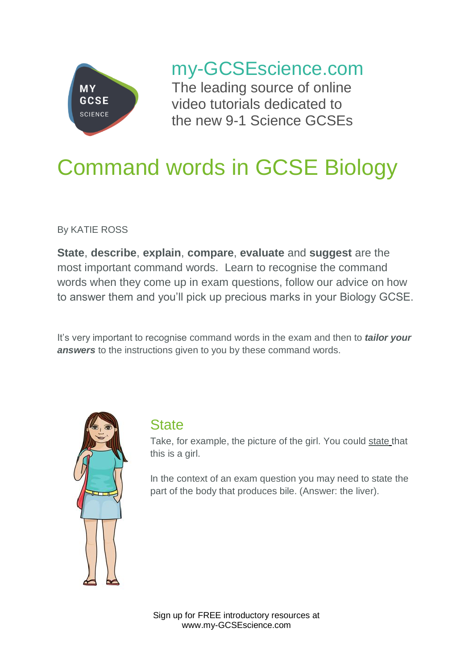

my-GCSEscience.com

The leading source of online video tutorials dedicated to the new 9-1 Science GCSEs

# Command words in GCSE Biology

By KATIE ROSS

**State**, **describe**, **explain**, **compare**, **evaluate** and **suggest** are the most important command words. Learn to recognise the command words when they come up in exam questions, follow our advice on how to answer them and you'll pick up precious marks in your Biology GCSE.

It's very important to recognise command words in the exam and then to *tailor your answers* to the instructions given to you by these command words.



#### **State**

Take, for example, the picture of the girl. You could state that this is a girl.

In the context of an exam question you may need to state the part of the body that produces bile. (Answer: the liver).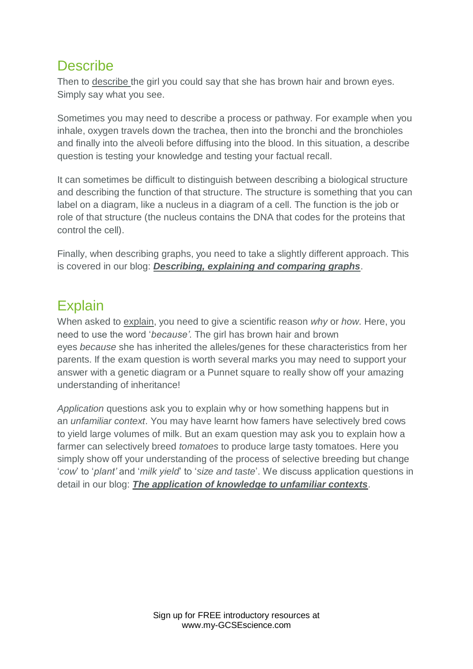#### **Describe**

Then to describe the girl you could say that she has brown hair and brown eyes. Simply say what you see.

Sometimes you may need to describe a process or pathway. For example when you inhale, oxygen travels down the trachea, then into the bronchi and the bronchioles and finally into the alveoli before diffusing into the blood. In this situation, a describe question is testing your knowledge and testing your factual recall.

It can sometimes be difficult to distinguish between describing a biological structure and describing the function of that structure. The structure is something that you can label on a diagram, like a nucleus in a diagram of a cell. The function is the job or role of that structure (the nucleus contains the DNA that codes for the proteins that control the cell).

Finally, when describing graphs, you need to take a slightly different approach. This is covered in our blog: *[Describing, explaining and comparing graphs](https://www.my-gcsescience.com/describing-explaining-comparing-graphs/)*.

# **Explain**

When asked to explain, you need to give a scientific reason *why* or *how*. Here, you need to use the word '*because'*. The girl has brown hair and brown eyes *because* she has inherited the alleles/genes for these characteristics from her parents. If the exam question is worth several marks you may need to support your answer with a genetic diagram or a Punnet square to really show off your amazing understanding of inheritance!

*Application* questions ask you to explain why or how something happens but in an *unfamiliar context*. You may have learnt how famers have selectively bred cows to yield large volumes of milk. But an exam question may ask you to explain how a farmer can selectively breed *tomatoes* to produce large tasty tomatoes. Here you simply show off your understanding of the process of selective breeding but change '*cow*' to '*plant'* and '*milk yield*' to '*size and taste*'. We discuss application questions in detail in our blog: *[The application of knowledge to unfamiliar contexts](https://www.my-gcsescience.com/gcse-biology-the-application-of-knowledge-to-unfamiliar-contexts/)*.